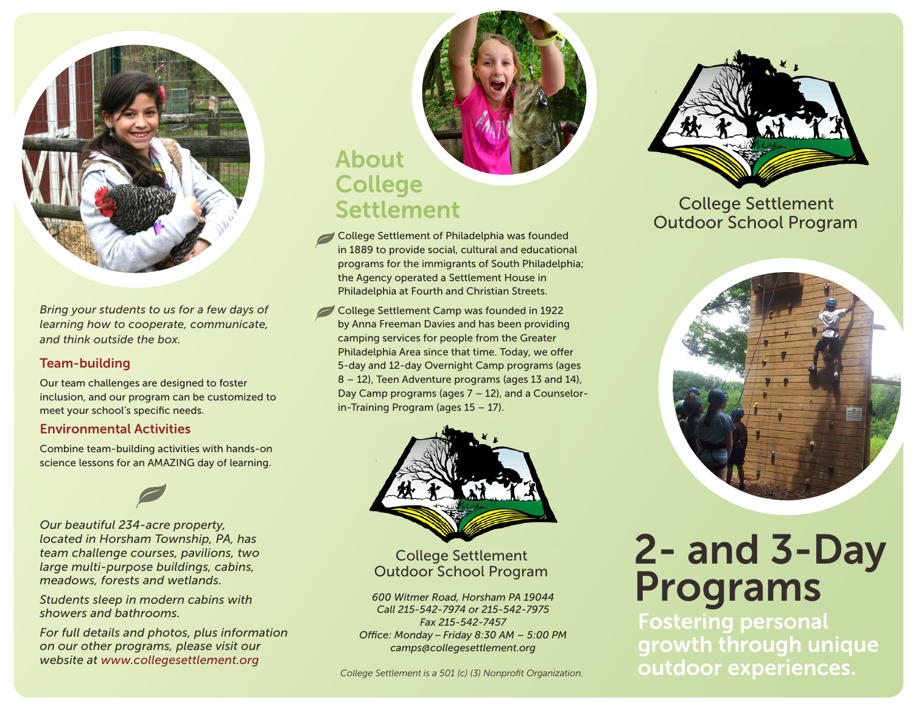

*Bring your students to us for a few days of learning how to cooperate, communicate, and think outside the box.*

#### Team-building

Our team challenges are designed to foster inclusion, and our program can be customized to meet your school's specific needs.

#### Environmental Activities

Combine team-building activities with hands-on science lessons for an AMAZING day of learning.



*Our beautiful 234-acre property, located in Horsham Township, PA, has team challenge courses, pavilions, two large multi-purpose buildings, cabins, meadows, forests and wetlands.*

*Students sleep in modern cabins with showers and bathrooms.*

*For full details and photos, plus information on our other programs, please visit our website at www.collegesettlement.org*

## About **College Settlement**

- College Settlement of Philadelphia was founded in 1889 to provide social, cultural and educational programs for the immigrants of South Philadelphia; the Agency operated a Settlement House in Philadelphia at Fourth and Christian Streets.
- College Settlement Camp was founded in 1922 by Anna Freeman Davies and has been providing camping services for people from the Greater Philadelphia Area since that time. Today, we offer 5-day and 12-day Overnight Camp programs (ages 8 – 12), Teen Adventure programs (ages 13 and 14), Day Camp programs (ages 7 – 12), and a Counselorin-Training Program (ages 15 – 17).



#### College Settlement Outdoor School Program

*Fax 215-542-7457 Office: Monday – Friday 8:30 AM – 5:00 PM camps@collegesettlement.org*

*College Settlement is a 501 (c) (3) Nonprofit Organization.*



### College Settlement Outdoor School Program



# 2- and 3-Day **CULGOOF SCHOOL FTOGRAM**<br>*600 Witmer Road, Horsham PA 19044* **Program S**<br>*Call 215-542-7974 or 215-542-7975*

Fostering personal growth through unique outdoor experiences.